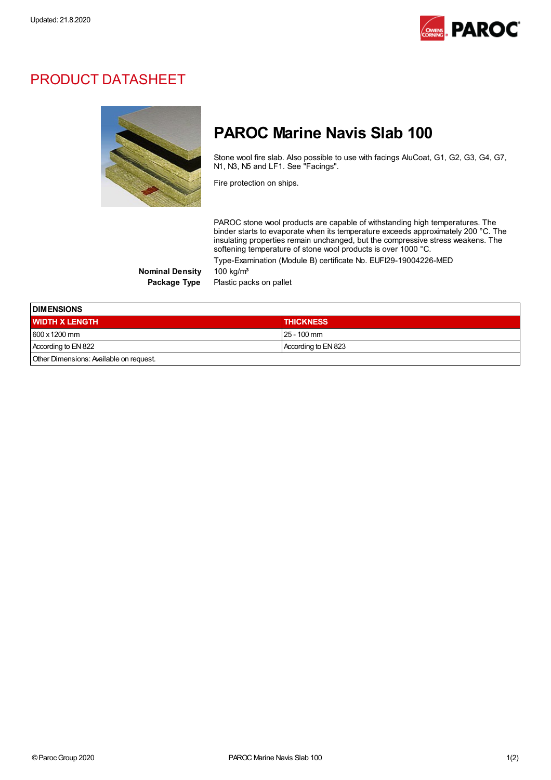

## PRODUCT DATASHEET



## PAROC Marine Navis Slab 100

Stone wool fire slab. Also possible to use with facings AluCoat, G1, G2, G3, G4, G7, N1, N3, N5 and LF1. See "Facings".

Fire protection on ships.

PAROC stone wool products are capable of withstanding high temperatures. The binder starts to evaporate when its temperature exceeds approximately 200 °C. The insulating properties remain unchanged, but the compressive stress weakens. The softening temperature of stone wool products is over 1000 °C. Type-Examination (Module B) certificate No. EUFI29-19004226-MED

Nominal Density 100 kg/m<sup>3</sup>

Package Type Plastic packs on pallet

| <b>DIMENSIONS</b>                       |                     |  |
|-----------------------------------------|---------------------|--|
| <b>WIDTH X LENGTH</b>                   | <b>THICKNESS</b>    |  |
| 600 x 1200 mm                           | 25 - 100 mm         |  |
| According to EN 822                     | According to EN 823 |  |
| Other Dimensions: Available on request. |                     |  |